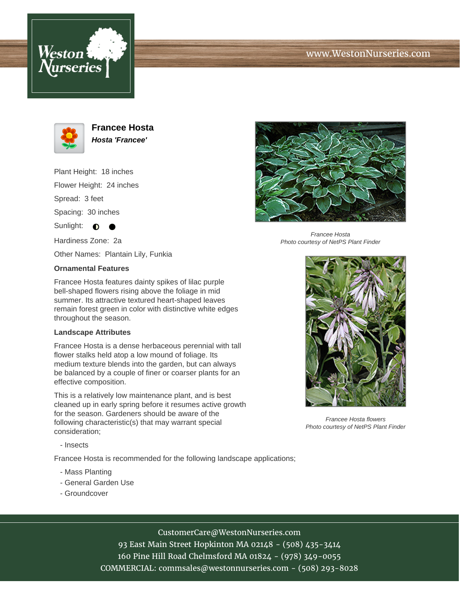



**Francee Hosta Hosta 'Francee'**

Plant Height: 18 inches Flower Height: 24 inches

Spread: 3 feet

Spacing: 30 inches

Sunlight:  $\bigcirc$ 

Hardiness Zone: 2a

Other Names: Plantain Lily, Funkia

## **Ornamental Features**

Francee Hosta features dainty spikes of lilac purple bell-shaped flowers rising above the foliage in mid summer. Its attractive textured heart-shaped leaves remain forest green in color with distinctive white edges throughout the season.

## **Landscape Attributes**

Francee Hosta is a dense herbaceous perennial with tall flower stalks held atop a low mound of foliage. Its medium texture blends into the garden, but can always be balanced by a couple of finer or coarser plants for an effective composition.

This is a relatively low maintenance plant, and is best cleaned up in early spring before it resumes active growth for the season. Gardeners should be aware of the following characteristic(s) that may warrant special consideration;

- Insects

Francee Hosta is recommended for the following landscape applications;

- Mass Planting
- General Garden Use
- Groundcover



Francee Hosta Photo courtesy of NetPS Plant Finder



Francee Hosta flowers Photo courtesy of NetPS Plant Finder

CustomerCare@WestonNurseries.com

93 East Main Street Hopkinton MA 02148 - (508) 435-3414 160 Pine Hill Road Chelmsford MA 01824 - (978) 349-0055 COMMERCIAL: commsales@westonnurseries.com - (508) 293-8028